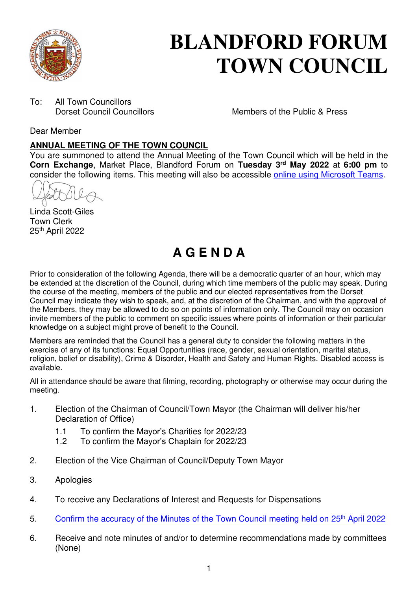

# **BLANDFORD FORUM TOWN COUNCIL**

To: All Town Councillors<br>Dorset Council Councillors

Members of the Public & Press

Dear Member

#### **ANNUAL MEETING OF THE TOWN COUNCIL**

You are summoned to attend the Annual Meeting of the Town Council which will be held in the **Corn Exchange**, Market Place, Blandford Forum on **Tuesday 3rd May 2022** at **6:00 pm** to consider the following items. This meeting will also be accessible [online using Microsoft Teams.](https://teams.microsoft.com/l/meetup-join/19%3a2cb1b1f9de074efdad40308940ab9ba0%40thread.tacv2/1649328901434?context=%7b%22Tid%22%3a%223cd8f2fb-4c45-4162-86f1-fb87b5f6a138%22%2c%22Oid%22%3a%2265e5950c-ab1c-41cc-9090-4a755c733f54%22%7d)

Linda Scott-Giles Town Clerk 25th April 2022

# **A G E N D A**

Prior to consideration of the following Agenda, there will be a democratic quarter of an hour, which may be extended at the discretion of the Council, during which time members of the public may speak. During the course of the meeting, members of the public and our elected representatives from the Dorset Council may indicate they wish to speak, and, at the discretion of the Chairman, and with the approval of the Members, they may be allowed to do so on points of information only. The Council may on occasion invite members of the public to comment on specific issues where points of information or their particular knowledge on a subject might prove of benefit to the Council.

Members are reminded that the Council has a general duty to consider the following matters in the exercise of any of its functions: Equal Opportunities (race, gender, sexual orientation, marital status, religion, belief or disability), Crime & Disorder, Health and Safety and Human Rights. Disabled access is available.

All in attendance should be aware that filming, recording, photography or otherwise may occur during the meeting.

- 1. Election of the Chairman of Council/Town Mayor (the Chairman will deliver his/her Declaration of Office)
	- 1.1 To confirm the Mayor's Charities for 2022/23<br>1.2 To confirm the Mayor's Chaplain for 2022/23
	- To confirm the Mayor's Chaplain for 2022/23
- 2. Election of the Vice Chairman of Council/Deputy Town Mayor
- 3. Apologies
- 4. To receive any Declarations of Interest and Requests for Dispensations
- 5. [Confirm the accuracy of the Minutes of the Town Council meeting held on 25](https://blandfordforum-tc.gov.uk/town-council/meetingscommittees)<sup>th</sup> April 2022
- 6. Receive and note minutes of and/or to determine recommendations made by committees (None)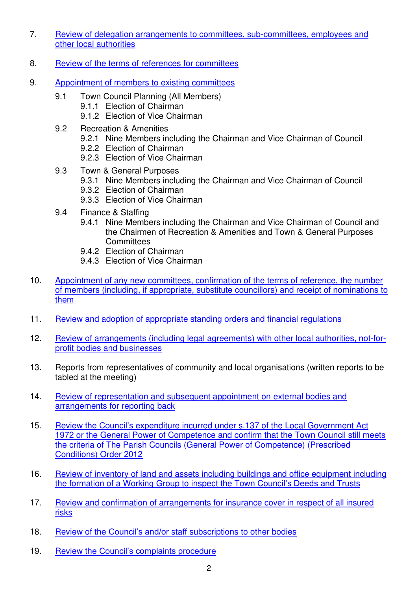- 7. [Review of delegation arrangements to committees, sub-committees, employees and](#page-3-0)  [other local authorities](#page-3-0)
- 8. [Review of the terms of references for committees](#page-4-0)
- 9. [Appointment of members to existing committees](#page-6-0)
	- 9.1 Town Council Planning (All Members)
		- 9.1.1 Election of Chairman
		- 9.1.2 Election of Vice Chairman
	- 9.2 Recreation & Amenities
		- 9.2.1 Nine Members including the Chairman and Vice Chairman of Council
		- 9.2.2 Election of Chairman
		- 9.2.3 Election of Vice Chairman
	- 9.3 Town & General Purposes
		- 9.3.1 Nine Members including the Chairman and Vice Chairman of Council
		- 9.3.2 Election of Chairman
		- 9.3.3 Election of Vice Chairman
	- 9.4 Finance & Staffing
		- 9.4.1 Nine Members including the Chairman and Vice Chairman of Council and the Chairmen of Recreation & Amenities and Town & General Purposes **Committees**
		- 9.4.2 Election of Chairman
		- 9.4.3 Election of Vice Chairman
- 10. [Appointment of any new committees, confirmation of the terms of reference, the number](#page-7-0)  [of members \(including, if appropriate, substitute councillors\) and receipt of nominations to](#page-7-0)  [them](#page-7-0)
- 11. [Review and adoption of appropriate standing orders and financial regulations](#page-8-0)
- 12. [Review of arrangements \(including legal agreements\) with other local authorities, not-for](#page-9-0)[profit bodies and businesses](#page-9-0)
- 13. Reports from representatives of community and local organisations (written reports to be tabled at the meeting)
- 14. [Review of representation and subsequent appointment on external bodies and](#page-11-0)  [arrangements for reporting back](#page-11-0)
- 15. Review the Council's expen[diture incurred under s.137 of the Local Government Act](#page-13-0)  [1972 or the General Power of Competence and confirm that the Town Council still meets](#page-13-0)  [the criteria of The Parish Councils \(General Power of](#page-13-0) Competence) (Prescribed [Conditions\) Order 2012](#page-13-0)
- 16. [Review of inventory of land and assets including buildings and office equipment including](#page-14-0) [the formation of a Working Group to inspect the Town Council](#page-14-0)'s Deeds and Trusts
- 17. [Review and confirmation of arrangements for insurance cover in respect of all insured](#page-18-0)  [risks](#page-18-0)
- 18. Review of the Council's and/or [staff subscriptions to other bodies](#page-19-0)
- 19. Review th[e Council's complaints procedure](#page-20-0)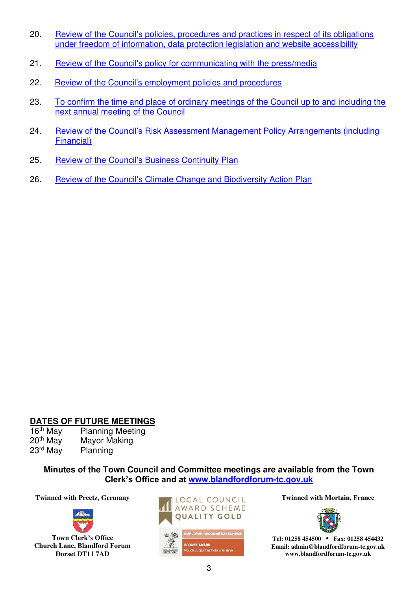- 20. Review of the Council's [policies, procedures and practices in respect of its obligations](#page-21-0)  [under freedom of information, data protection legislation and website accessibility](#page-21-0)
- 21. Review of the Council's [policy for communicating with the press/media](#page-22-0)
- 22. Review of the Council'[s employment policies and procedures](#page-23-0)
- 23. [To confirm the time and place of ordinary meetings of the Council up to and including the](#page-24-0)  [next annual meeting of the Council](#page-24-0)
- 24. Review of the Council's [Risk Assessment Management Policy Arrangements \(including](#page-27-0)  [Financial\)](#page-27-0)
- 25. Review of the Council's [Business Continuity Plan](#page-28-0)
- 26. Review of the Council's Climate Cha[nge and Biodiversity Action Plan](#page-29-0)

#### **DATES OF FUTURE MEETINGS**

| 16 <sup>th</sup> May | <b>Planning Meeting</b> |
|----------------------|-------------------------|
| 20 <sup>th</sup> May | Mayor Making            |
| 23 <sup>rd</sup> May | Planning                |

#### **Minutes of the Town Council and Committee meetings are available from the Town Clerk's Office and at [www.blandfordforum-tc.gov.uk](http://www.blandfordforum-tc.gov.uk/)**



**Town Clerk's Office Church Lane, Blandford Forum Dorset DT11 7AD**





**Tel: 01258 454500 • Fax: 01258 454432 Email: admin@blandfordforum-tc.gov.uk www.blandfordforum-tc.gov.uk**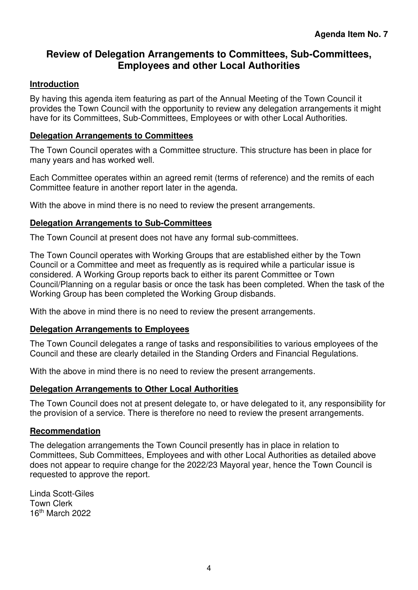### <span id="page-3-0"></span>**Review of Delegation Arrangements to Committees, Sub-Committees, Employees and other Local Authorities**

#### **Introduction**

By having this agenda item featuring as part of the Annual Meeting of the Town Council it provides the Town Council with the opportunity to review any delegation arrangements it might have for its Committees, Sub-Committees, Employees or with other Local Authorities.

#### **Delegation Arrangements to Committees**

The Town Council operates with a Committee structure. This structure has been in place for many years and has worked well.

Each Committee operates within an agreed remit (terms of reference) and the remits of each Committee feature in another report later in the agenda.

With the above in mind there is no need to review the present arrangements.

#### **Delegation Arrangements to Sub-Committees**

The Town Council at present does not have any formal sub-committees.

The Town Council operates with Working Groups that are established either by the Town Council or a Committee and meet as frequently as is required while a particular issue is considered. A Working Group reports back to either its parent Committee or Town Council/Planning on a regular basis or once the task has been completed. When the task of the Working Group has been completed the Working Group disbands.

With the above in mind there is no need to review the present arrangements.

#### **Delegation Arrangements to Employees**

The Town Council delegates a range of tasks and responsibilities to various employees of the Council and these are clearly detailed in the Standing Orders and Financial Regulations.

With the above in mind there is no need to review the present arrangements.

#### **Delegation Arrangements to Other Local Authorities**

The Town Council does not at present delegate to, or have delegated to it, any responsibility for the provision of a service. There is therefore no need to review the present arrangements.

#### **Recommendation**

The delegation arrangements the Town Council presently has in place in relation to Committees, Sub Committees, Employees and with other Local Authorities as detailed above does not appear to require change for the 2022/23 Mayoral year, hence the Town Council is requested to approve the report.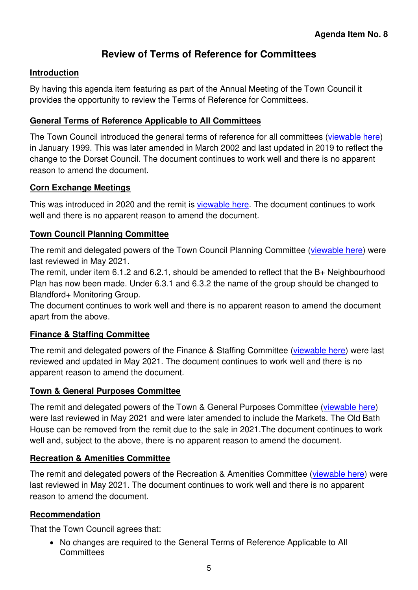## **Review of Terms of Reference for Committees**

#### <span id="page-4-0"></span>**Introduction**

By having this agenda item featuring as part of the Annual Meeting of the Town Council it provides the opportunity to review the Terms of Reference for Committees.

#### **General Terms of Reference Applicable to All Committees**

The Town Council introduced the general terms of reference for all committees [\(viewable here\)](https://blandfordforum-tc.gov.uk/wp-content/uploads/2021/02/Section-5-Committee-Remits-1.pdf) in January 1999. This was later amended in March 2002 and last updated in 2019 to reflect the change to the Dorset Council. The document continues to work well and there is no apparent reason to amend the document.

#### **Corn Exchange Meetings**

This was introduced in 2020 and the remit is [viewable here.](https://blandfordforum-tc.gov.uk/wp-content/uploads/2021/02/Section-5-Town-Council-Corn-Exchange-Remit.pdf) The document continues to work well and there is no apparent reason to amend the document.

#### **Town Council Planning Committee**

The remit and delegated powers of the Town Council Planning Committee [\(viewable here\)](https://blandfordforum-tc.gov.uk/wp-content/uploads/2021/02/Section-5-Planning-Remit.pdf) were last reviewed in May 2021.

The remit, under item 6.1.2 and 6.2.1, should be amended to reflect that the B+ Neighbourhood Plan has now been made. Under 6.3.1 and 6.3.2 the name of the group should be changed to Blandford+ Monitoring Group.

The document continues to work well and there is no apparent reason to amend the document apart from the above.

#### **Finance & Staffing Committee**

The remit and delegated powers of the Finance & Staffing Committee [\(viewable here\)](https://blandfordforum-tc.gov.uk/wp-content/uploads/2021/02/Section-5-FS-Remit.pdf) were last reviewed and updated in May 2021. The document continues to work well and there is no apparent reason to amend the document.

#### **Town & General Purposes Committee**

The remit and delegated powers of the Town & General Purposes Committee [\(viewable here\)](https://blandfordforum-tc.gov.uk/wp-content/uploads/2021/02/Section-5-TGP-Remit.pdf) were last reviewed in May 2021 and were later amended to include the Markets. The Old Bath House can be removed from the remit due to the sale in 2021.The document continues to work well and, subject to the above, there is no apparent reason to amend the document.

#### **Recreation & Amenities Committee**

The remit and delegated powers of the Recreation & Amenities Committee [\(viewable here\)](https://blandfordforum-tc.gov.uk/wp-content/uploads/2021/02/Section-5-RA-Remit.pdf) were last reviewed in May 2021. The document continues to work well and there is no apparent reason to amend the document.

#### **Recommendation**

That the Town Council agrees that:

• No changes are required to the General Terms of Reference Applicable to All **Committees**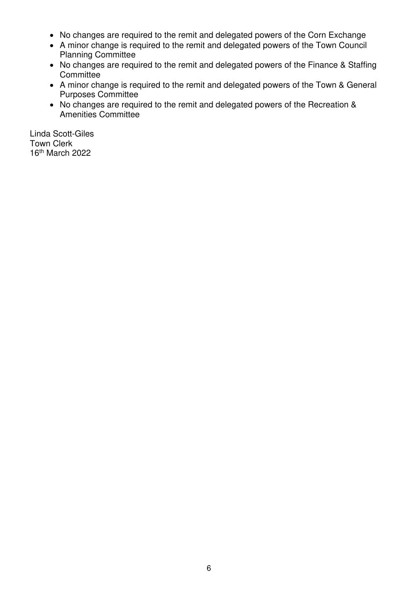- No changes are required to the remit and delegated powers of the Corn Exchange
- A minor change is required to the remit and delegated powers of the Town Council Planning Committee
- No changes are required to the remit and delegated powers of the Finance & Staffing **Committee**
- A minor change is required to the remit and delegated powers of the Town & General Purposes Committee
- No changes are required to the remit and delegated powers of the Recreation & Amenities Committee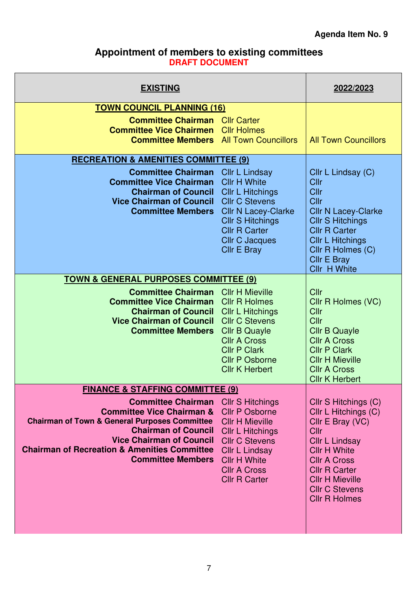#### **Appointment of members to existing committees DRAFT DOCUMENT**

<span id="page-6-0"></span>

| <b>EXISTING</b>                                                                                                                                                                                                                                                                                        |                                                                                                                                                                                                                           | 2022/2023                                                                                                                                                                                                                                          |
|--------------------------------------------------------------------------------------------------------------------------------------------------------------------------------------------------------------------------------------------------------------------------------------------------------|---------------------------------------------------------------------------------------------------------------------------------------------------------------------------------------------------------------------------|----------------------------------------------------------------------------------------------------------------------------------------------------------------------------------------------------------------------------------------------------|
| <b>TOWN COUNCIL PLANNING (16)</b>                                                                                                                                                                                                                                                                      |                                                                                                                                                                                                                           |                                                                                                                                                                                                                                                    |
| <b>Committee Chairman</b> Cllr Carter<br><b>Committee Vice Chairmen</b> Cllr Holmes<br><b>Committee Members</b> All Town Councillors                                                                                                                                                                   |                                                                                                                                                                                                                           | <b>All Town Councillors</b>                                                                                                                                                                                                                        |
| <b>RECREATION &amp; AMENITIES COMMITTEE (9)</b>                                                                                                                                                                                                                                                        |                                                                                                                                                                                                                           |                                                                                                                                                                                                                                                    |
| <b>Committee Chairman</b><br><b>Committee Vice Chairman</b><br><b>Chairman of Council</b><br><b>Vice Chairman of Council</b><br><b>Committee Members</b>                                                                                                                                               | Cllr L Lindsay<br><b>Cllr H White</b><br><b>CIIr L Hitchings</b><br><b>Cllr C Stevens</b><br><b>Cllr N Lacey-Clarke</b><br><b>CIIr S Hitchings</b><br><b>Cllr R Carter</b><br><b>Cllr C Jacques</b><br><b>Cllr E Bray</b> | Cllr L Lindsay (C)<br>Cllr<br>Cllr<br>Cllr<br><b>Cllr N Lacey-Clarke</b><br><b>CIIr S Hitchings</b><br><b>Cllr R Carter</b><br><b>CIIr L Hitchings</b><br>Cllr R Holmes (C)<br><b>Cllr E Bray</b><br>Cllr H White                                  |
| <b>TOWN &amp; GENERAL PURPOSES COMMITTEE (9)</b>                                                                                                                                                                                                                                                       |                                                                                                                                                                                                                           |                                                                                                                                                                                                                                                    |
| <b>Committee Chairman</b> Cllr H Mieville<br><b>Committee Vice Chairman</b> Cllr R Holmes<br><b>Chairman of Council</b><br><b>Vice Chairman of Council</b><br><b>Committee Members</b>                                                                                                                 | <b>CIIr L Hitchings</b><br><b>Cllr C Stevens</b><br><b>Cllr B Quayle</b><br><b>Cllr A Cross</b><br><b>Cllr P Clark</b><br><b>Cllr P Osborne</b><br><b>Cllr K Herbert</b>                                                  | Cllr<br>Cllr R Holmes (VC)<br>Cllr<br>Cllr<br><b>Cllr B Quayle</b><br><b>Cllr A Cross</b><br><b>Cllr P Clark</b><br><b>Cllr H Mieville</b><br><b>Cllr A Cross</b><br><b>Cllr K Herbert</b>                                                         |
| <b>FINANCE &amp; STAFFING COMMITTEE (9)</b>                                                                                                                                                                                                                                                            |                                                                                                                                                                                                                           |                                                                                                                                                                                                                                                    |
| <b>Committee Chairman</b> Cllr S Hitchings<br><b>Committee Vice Chairman &amp;</b><br><b>Chairman of Town &amp; General Purposes Committee</b><br><b>Chairman of Council</b><br><b>Vice Chairman of Council</b><br><b>Chairman of Recreation &amp; Amenities Committee</b><br><b>Committee Members</b> | <b>Cllr P Osborne</b><br><b>Cllr H Mieville</b><br><b>Cllr L Hitchings</b><br><b>Cllr C Stevens</b><br><b>Cllr L Lindsay</b><br><b>Cllr H White</b><br><b>Cllr A Cross</b><br><b>Cllr R Carter</b>                        | Cllr S Hitchings (C)<br>Cllr L Hitchings (C)<br>Cllr E Bray (VC)<br>Cllr<br><b>Cllr L Lindsay</b><br><b>Cllr H White</b><br><b>Cllr A Cross</b><br><b>Cllr R Carter</b><br><b>Cllr H Mieville</b><br><b>Cllr C Stevens</b><br><b>Cllr R Holmes</b> |
|                                                                                                                                                                                                                                                                                                        |                                                                                                                                                                                                                           |                                                                                                                                                                                                                                                    |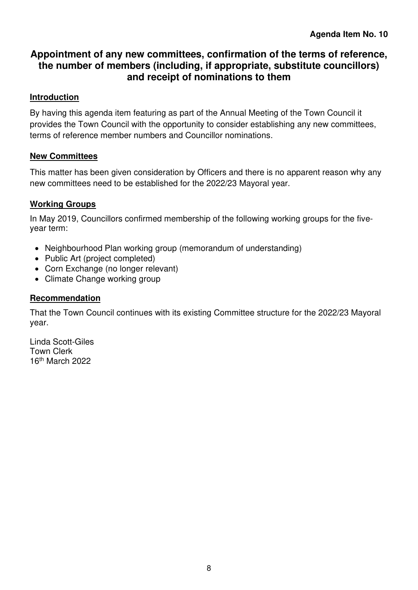## <span id="page-7-0"></span>**Appointment of any new committees, confirmation of the terms of reference, the number of members (including, if appropriate, substitute councillors) and receipt of nominations to them**

#### **Introduction**

By having this agenda item featuring as part of the Annual Meeting of the Town Council it provides the Town Council with the opportunity to consider establishing any new committees, terms of reference member numbers and Councillor nominations.

#### **New Committees**

This matter has been given consideration by Officers and there is no apparent reason why any new committees need to be established for the 2022/23 Mayoral year.

#### **Working Groups**

In May 2019, Councillors confirmed membership of the following working groups for the fiveyear term:

- Neighbourhood Plan working group (memorandum of understanding)
- Public Art (project completed)
- Corn Exchange (no longer relevant)
- Climate Change working group

#### **Recommendation**

That the Town Council continues with its existing Committee structure for the 2022/23 Mayoral year.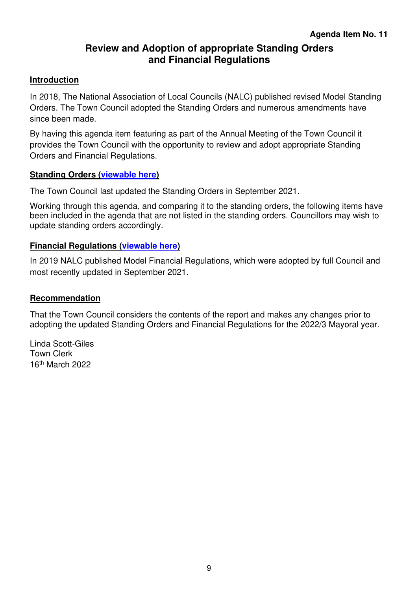## **Review and Adoption of appropriate Standing Orders and Financial Regulations**

#### <span id="page-8-0"></span>**Introduction**

In 2018, The National Association of Local Councils (NALC) published revised Model Standing Orders. The Town Council adopted the Standing Orders and numerous amendments have since been made.

By having this agenda item featuring as part of the Annual Meeting of the Town Council it provides the Town Council with the opportunity to review and adopt appropriate Standing Orders and Financial Regulations.

#### **Standing Orders [\(viewable here\)](https://blandfordforum-tc.gov.uk/wp-content/uploads/2022/04/Standing-Orders-September-2021.pdf)**

The Town Council last updated the Standing Orders in September 2021.

Working through this agenda, and comparing it to the standing orders, the following items have been included in the agenda that are not listed in the standing orders. Councillors may wish to update standing orders accordingly.

#### **Financial Regulations [\(viewable here\)](https://blandfordforum-tc.gov.uk/wp-content/uploads/2022/04/Financial-Regulations-and-Contracts-September-2021.pdf)**

In 2019 NALC published Model Financial Regulations, which were adopted by full Council and most recently updated in September 2021.

#### **Recommendation**

That the Town Council considers the contents of the report and makes any changes prior to adopting the updated Standing Orders and Financial Regulations for the 2022/3 Mayoral year.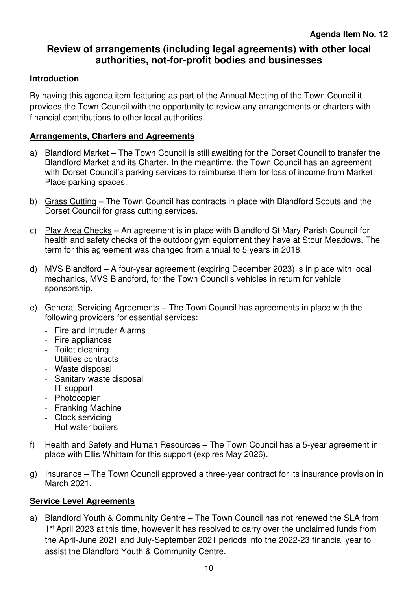## <span id="page-9-0"></span>**Review of arrangements (including legal agreements) with other local authorities, not-for-profit bodies and businesses**

#### **Introduction**

By having this agenda item featuring as part of the Annual Meeting of the Town Council it provides the Town Council with the opportunity to review any arrangements or charters with financial contributions to other local authorities.

#### **Arrangements, Charters and Agreements**

- a) Blandford Market The Town Council is still awaiting for the Dorset Council to transfer the Blandford Market and its Charter. In the meantime, the Town Council has an agreement with Dorset Council's parking services to reimburse them for loss of income from Market Place parking spaces.
- b) Grass Cutting The Town Council has contracts in place with Blandford Scouts and the Dorset Council for grass cutting services.
- c) Play Area Checks An agreement is in place with Blandford St Mary Parish Council for health and safety checks of the outdoor gym equipment they have at Stour Meadows. The term for this agreement was changed from annual to 5 years in 2018.
- d) MVS Blandford A four-year agreement (expiring December 2023) is in place with local mechanics, MVS Blandford, for the Town Council's vehicles in return for vehicle sponsorship.
- e) General Servicing Agreements The Town Council has agreements in place with the following providers for essential services:
	- Fire and Intruder Alarms
	- Fire appliances
	- Toilet cleaning
	- Utilities contracts
	- Waste disposal
	- Sanitary waste disposal
	- IT support
	- Photocopier
	- Franking Machine
	- Clock servicing
	- Hot water boilers
- f) Health and Safety and Human Resources The Town Council has a 5-year agreement in place with Ellis Whittam for this support (expires May 2026).
- g) Insurance The Town Council approved a three-year contract for its insurance provision in March 2021.

#### **Service Level Agreements**

a) Blandford Youth & Community Centre – The Town Council has not renewed the SLA from 1<sup>st</sup> April 2023 at this time, however it has resolved to carry over the unclaimed funds from the April-June 2021 and July-September 2021 periods into the 2022-23 financial year to assist the Blandford Youth & Community Centre.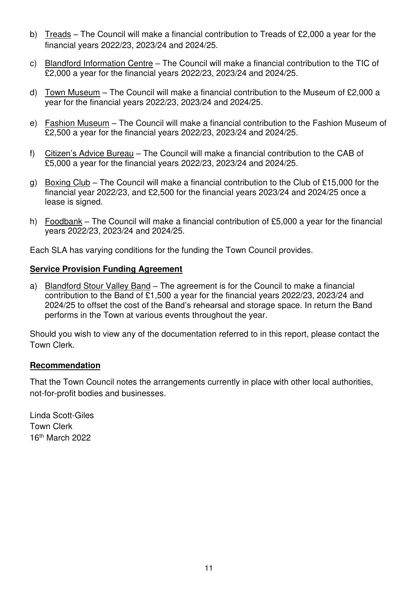- b) Treads The Council will make a financial contribution to Treads of £2,000 a year for the financial years 2022/23, 2023/24 and 2024/25.
- c) Blandford Information Centre The Council will make a financial contribution to the TIC of £2,000 a year for the financial years 2022/23, 2023/24 and 2024/25.
- d) Town Museum The Council will make a financial contribution to the Museum of £2,000 a year for the financial years 2022/23, 2023/24 and 2024/25.
- e) Fashion Museum The Council will make a financial contribution to the Fashion Museum of £2,500 a year for the financial years 2022/23, 2023/24 and 2024/25.
- f) Citizen's Advice Bureau The Council will make a financial contribution to the CAB of £5,000 a year for the financial years 2022/23, 2023/24 and 2024/25.
- g) Boxing Club The Council will make a financial contribution to the Club of £15,000 for the financial year 2022/23, and £2,500 for the financial years 2023/24 and 2024/25 once a lease is signed.
- h) Foodbank The Council will make a financial contribution of £5,000 a year for the financial years 2022/23, 2023/24 and 2024/25.

Each SLA has varying conditions for the funding the Town Council provides.

#### **Service Provision Funding Agreement**

a) Blandford Stour Valley Band - The agreement is for the Council to make a financial contribution to the Band of £1,500 a year for the financial years 2022/23, 2023/24 and 2024/25 to offset the cost of the Band's rehearsal and storage space. In return the Band performs in the Town at various events throughout the year.

Should you wish to view any of the documentation referred to in this report, please contact the Town Clerk.

#### **Recommendation**

That the Town Council notes the arrangements currently in place with other local authorities, not-for-profit bodies and businesses.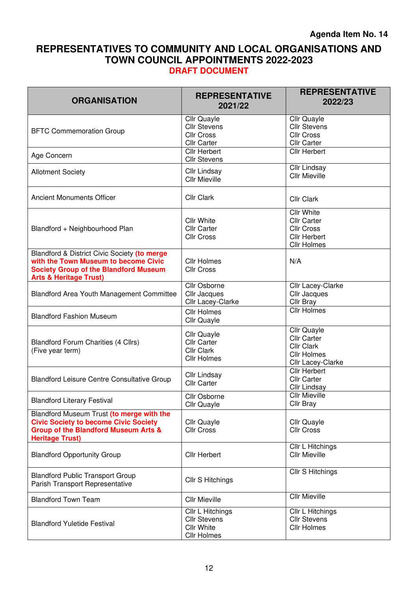#### <span id="page-11-0"></span>**REPRESENTATIVES TO COMMUNITY AND LOCAL ORGANISATIONS AND TOWN COUNCIL APPOINTMENTS 2022-2023 DRAFT DOCUMENT**

| <b>ORGANISATION</b>                                                                                                                                                       | <b>REPRESENTATIVE</b><br>2021/22                                                   | <b>REPRESENTATIVE</b><br>2022/23                                                                   |
|---------------------------------------------------------------------------------------------------------------------------------------------------------------------------|------------------------------------------------------------------------------------|----------------------------------------------------------------------------------------------------|
| <b>BFTC Commemoration Group</b>                                                                                                                                           | Cllr Quayle<br><b>Cllr Stevens</b><br><b>Cllr Cross</b><br><b>Cllr Carter</b>      | Cllr Quayle<br><b>Cllr Stevens</b><br><b>Cllr Cross</b><br><b>Cllr Carter</b>                      |
| Age Concern                                                                                                                                                               | <b>Cllr Herbert</b><br><b>Cllr Stevens</b>                                         | <b>Cllr Herbert</b>                                                                                |
| <b>Allotment Society</b>                                                                                                                                                  | <b>Cllr Lindsay</b><br><b>Cllr Mieville</b>                                        | Cllr Lindsay<br><b>Cllr Mieville</b>                                                               |
| <b>Ancient Monuments Officer</b>                                                                                                                                          | Cllr Clark                                                                         | <b>Cllr Clark</b>                                                                                  |
| Blandford + Neighbourhood Plan                                                                                                                                            | <b>Cllr White</b><br><b>Cllr Carter</b><br><b>Cllr Cross</b>                       | <b>Cllr White</b><br><b>Cllr Carter</b><br><b>Cllr Cross</b><br><b>Cllr Herbert</b><br>Cllr Holmes |
| Blandford & District Civic Society (to merge<br>with the Town Museum to become Civic<br><b>Society Group of the Blandford Museum</b><br><b>Arts &amp; Heritage Trust)</b> | <b>Cllr Holmes</b><br><b>Cllr Cross</b>                                            | N/A                                                                                                |
| <b>Blandford Area Youth Management Committee</b>                                                                                                                          | Cllr Osborne<br>Cllr Jacques<br>Cllr Lacey-Clarke                                  | Cllr Lacey-Clarke<br>Cllr Jacques<br>Cllr Bray                                                     |
| <b>Blandford Fashion Museum</b>                                                                                                                                           | <b>Cllr Holmes</b><br>Cllr Quayle                                                  | <b>Cllr Holmes</b>                                                                                 |
| <b>Blandford Forum Charities (4 Cllrs)</b><br>(Five year term)                                                                                                            | Cllr Quayle<br><b>Cllr Carter</b><br>Cllr Clark<br>Cllr Holmes                     | Cllr Quayle<br><b>Cllr Carter</b><br>Cllr Clark<br><b>Cllr Holmes</b><br>Cllr Lacey-Clarke         |
| <b>Blandford Leisure Centre Consultative Group</b>                                                                                                                        | <b>Cllr Lindsay</b><br><b>Cllr Carter</b>                                          | <b>Cllr Herbert</b><br><b>Cllr Carter</b><br>Cllr Lindsay                                          |
| <b>Blandford Literary Festival</b>                                                                                                                                        | Cllr Osborne<br>Cllr Quayle                                                        | <b>Cllr Mieville</b><br>Cllr Bray                                                                  |
| Blandford Museum Trust (to merge with the<br><b>Civic Society to become Civic Society</b><br><b>Group of the Blandford Museum Arts &amp;</b><br><b>Heritage Trust)</b>    | Cllr Quayle<br><b>Cllr Cross</b>                                                   | <b>Cllr Quayle</b><br><b>Cllr Cross</b>                                                            |
| <b>Blandford Opportunity Group</b>                                                                                                                                        | <b>Cllr Herbert</b>                                                                | Cllr L Hitchings<br><b>Cllr Mieville</b>                                                           |
| <b>Blandford Public Transport Group</b><br>Parish Transport Representative                                                                                                | Cllr S Hitchings                                                                   | Cllr S Hitchings                                                                                   |
| <b>Blandford Town Team</b>                                                                                                                                                | <b>Cllr Mieville</b>                                                               | <b>Cllr Mieville</b>                                                                               |
| <b>Blandford Yuletide Festival</b>                                                                                                                                        | Cllr L Hitchings<br><b>Cllr Stevens</b><br><b>Cllr White</b><br><b>Cllr Holmes</b> | Cllr L Hitchings<br><b>Cllr Stevens</b><br><b>Cllr Holmes</b>                                      |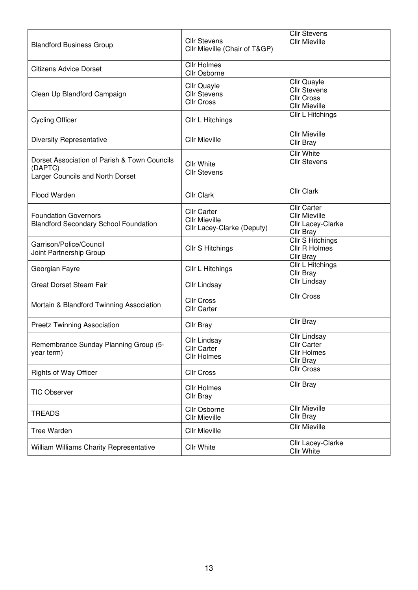| <b>Blandford Business Group</b>                                                             | <b>Cllr Stevens</b><br>Cllr Mieville (Chair of T&GP)                     | <b>Cllr Stevens</b><br><b>Cllr Mieville</b>                                     |
|---------------------------------------------------------------------------------------------|--------------------------------------------------------------------------|---------------------------------------------------------------------------------|
| <b>Citizens Advice Dorset</b>                                                               | <b>Cllr Holmes</b><br>Cllr Osborne                                       |                                                                                 |
| Clean Up Blandford Campaign                                                                 | <b>Cllr Quayle</b><br><b>Cllr Stevens</b><br><b>Cllr Cross</b>           | Cllr Quayle<br><b>Cllr Stevens</b><br><b>Cllr Cross</b><br><b>Cllr Mieville</b> |
| <b>Cycling Officer</b>                                                                      | Cllr L Hitchings                                                         | Cllr L Hitchings                                                                |
| <b>Diversity Representative</b>                                                             | <b>Cllr Mieville</b>                                                     | <b>Cllr Mieville</b><br>Cllr Bray                                               |
| Dorset Association of Parish & Town Councils<br>(DAPTC)<br>Larger Councils and North Dorset | <b>Cllr White</b><br><b>Cllr Stevens</b>                                 | <b>Cllr White</b><br><b>Cllr Stevens</b>                                        |
| Flood Warden                                                                                | <b>Cllr Clark</b>                                                        | <b>Cllr Clark</b>                                                               |
| <b>Foundation Governors</b><br><b>Blandford Secondary School Foundation</b>                 | <b>Cllr Carter</b><br><b>Cllr Mieville</b><br>Cllr Lacey-Clarke (Deputy) | <b>Cllr Carter</b><br><b>Cllr Mieville</b><br>Cllr Lacey-Clarke<br>Cllr Bray    |
| Garrison/Police/Council<br>Joint Partnership Group                                          | Cllr S Hitchings                                                         | Cllr S Hitchings<br>Cllr R Holmes<br>Cllr Bray                                  |
| Georgian Fayre                                                                              | Cllr L Hitchings                                                         | <b>Cllr L Hitchings</b><br>Cllr Bray                                            |
| <b>Great Dorset Steam Fair</b>                                                              | <b>Cllr Lindsay</b>                                                      | Cllr Lindsay                                                                    |
| Mortain & Blandford Twinning Association                                                    | <b>Cllr Cross</b><br><b>Cllr Carter</b>                                  | <b>Cllr Cross</b>                                                               |
| <b>Preetz Twinning Association</b>                                                          | Cllr Bray                                                                | Cllr Bray                                                                       |
| Remembrance Sunday Planning Group (5-<br>year term)                                         | <b>Cllr Lindsay</b><br><b>Cllr Carter</b><br><b>Cllr Holmes</b>          | Cllr Lindsay<br>Cllr Carter<br><b>Cllr Holmes</b><br>Cllr Bray                  |
| <b>Rights of Way Officer</b>                                                                | <b>Cllr Cross</b>                                                        | <b>Cllr Cross</b>                                                               |
| <b>TIC Observer</b>                                                                         | <b>Cllr Holmes</b><br>Cllr Bray                                          | Cllr Bray                                                                       |
| TREADS                                                                                      | Cllr Osborne<br><b>Cllr Mieville</b>                                     | <b>Cllr Mieville</b><br>Cllr Bray                                               |
| <b>Tree Warden</b>                                                                          | <b>Cllr Mieville</b>                                                     | <b>Cllr Mieville</b>                                                            |
| William Williams Charity Representative                                                     | <b>Cllr White</b>                                                        | Cllr Lacey-Clarke<br>Cllr White                                                 |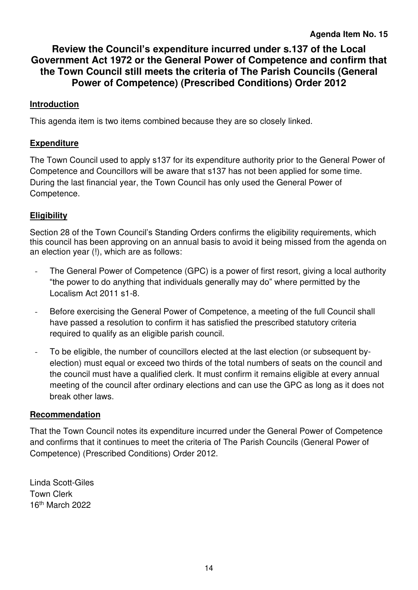<span id="page-13-0"></span>**Review the Council's expenditure incurred under s.137 of the Local Government Act 1972 or the General Power of Competence and confirm that the Town Council still meets the criteria of The Parish Councils (General Power of Competence) (Prescribed Conditions) Order 2012** 

#### **Introduction**

This agenda item is two items combined because they are so closely linked.

#### **Expenditure**

The Town Council used to apply s137 for its expenditure authority prior to the General Power of Competence and Councillors will be aware that s137 has not been applied for some time. During the last financial year, the Town Council has only used the General Power of Competence.

#### **Eligibility**

Section 28 of the Town Council's Standing Orders confirms the eligibility requirements, which this council has been approving on an annual basis to avoid it being missed from the agenda on an election year (!), which are as follows:

- The General Power of Competence (GPC) is a power of first resort, giving a local authority "the power to do anything that individuals generally may do" where permitted by the Localism Act 2011 s1-8.
- Before exercising the General Power of Competence, a meeting of the full Council shall have passed a resolution to confirm it has satisfied the prescribed statutory criteria required to qualify as an eligible parish council.
- To be eligible, the number of councillors elected at the last election (or subsequent byelection) must equal or exceed two thirds of the total numbers of seats on the council and the council must have a qualified clerk. It must confirm it remains eligible at every annual meeting of the council after ordinary elections and can use the GPC as long as it does not break other laws.

#### **Recommendation**

That the Town Council notes its expenditure incurred under the General Power of Competence and confirms that it continues to meet the criteria of The Parish Councils (General Power of Competence) (Prescribed Conditions) Order 2012.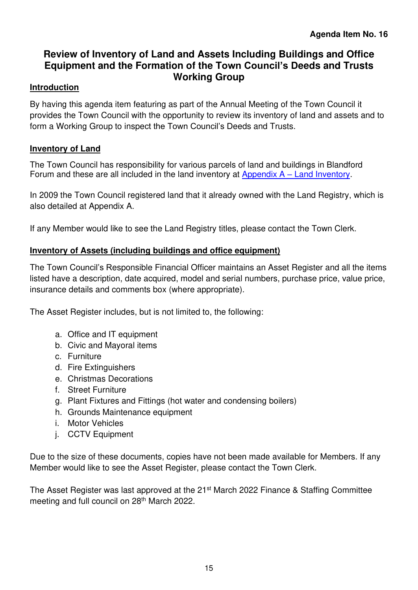## <span id="page-14-0"></span>**Review of Inventory of Land and Assets Including Buildings and Office Equipment and the Formation of the Town Council's Deeds and Trusts Working Group**

#### **Introduction**

By having this agenda item featuring as part of the Annual Meeting of the Town Council it provides the Town Council with the opportunity to review its inventory of land and assets and to form a Working Group to inspect the Town Council's Deeds and Trusts.

#### **Inventory of Land**

The Town Council has responsibility for various parcels of land and buildings in Blandford Forum and these are all included in the land inventory at Appendix  $A -$  Land I[nventory.](#page-16-0)

In 2009 the Town Council registered land that it already owned with the Land Registry, which is also detailed at Appendix A.

If any Member would like to see the Land Registry titles, please contact the Town Clerk.

#### **Inventory of Assets (including buildings and office equipment)**

The Town Council's Responsible Financial Officer maintains an Asset Register and all the items listed have a description, date acquired, model and serial numbers, purchase price, value price, insurance details and comments box (where appropriate).

The Asset Register includes, but is not limited to, the following:

- a. Office and IT equipment
- b. Civic and Mayoral items
- c. Furniture
- d. Fire Extinguishers
- e. Christmas Decorations
- f. Street Furniture
- g. Plant Fixtures and Fittings (hot water and condensing boilers)
- h. Grounds Maintenance equipment
- i. Motor Vehicles
- j. CCTV Equipment

Due to the size of these documents, copies have not been made available for Members. If any Member would like to see the Asset Register, please contact the Town Clerk.

The Asset Register was last approved at the 21<sup>st</sup> March 2022 Finance & Staffing Committee meeting and full council on 28<sup>th</sup> March 2022.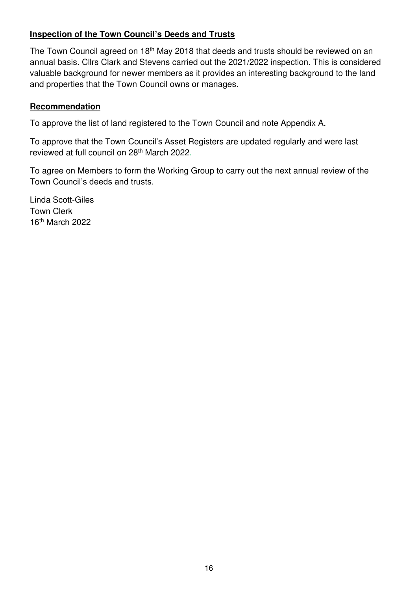#### **Inspection of the Town Council's Deeds and Trusts**

The Town Council agreed on 18<sup>th</sup> May 2018 that deeds and trusts should be reviewed on an annual basis. Cllrs Clark and Stevens carried out the 2021/2022 inspection. This is considered valuable background for newer members as it provides an interesting background to the land and properties that the Town Council owns or manages.

#### **Recommendation**

To approve the list of land registered to the Town Council and note Appendix A.

To approve that the Town Council's Asset Registers are updated regularly and were last reviewed at full council on 28th March 2022.

To agree on Members to form the Working Group to carry out the next annual review of the Town Council's deeds and trusts.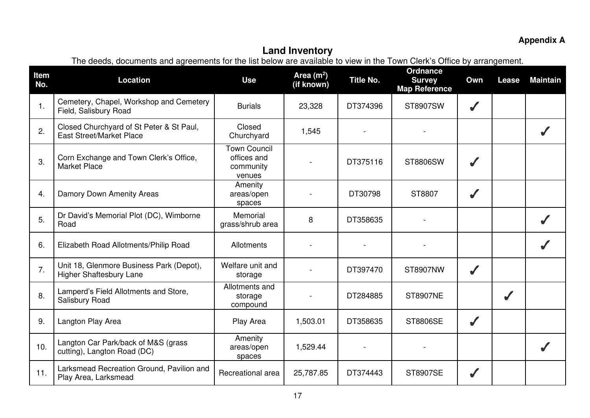## **Appendix A**

<span id="page-16-0"></span>

| Item<br>No.    | The accup, accuments and agreements for the fisc below are available to view in the Town Oldive Onlied by arrangement.<br><b>Location</b> | <b>Use</b>                                         | Area $(m2)$<br>(if known) | <b>Title No.</b> | Ordnance<br><b>Survey</b> | Own          | Lease | <b>Maintain</b> |
|----------------|-------------------------------------------------------------------------------------------------------------------------------------------|----------------------------------------------------|---------------------------|------------------|---------------------------|--------------|-------|-----------------|
|                |                                                                                                                                           |                                                    |                           |                  | <b>Map Reference</b>      |              |       |                 |
| $\mathbf{1}$ . | Cemetery, Chapel, Workshop and Cemetery<br>Field, Salisbury Road                                                                          | <b>Burials</b>                                     | 23,328                    | DT374396         | ST8907SW                  | ✔            |       |                 |
| 2.             | Closed Churchyard of St Peter & St Paul,<br><b>East Street/Market Place</b>                                                               | Closed<br>Churchyard                               | 1,545                     |                  |                           |              |       |                 |
| 3.             | Corn Exchange and Town Clerk's Office,<br><b>Market Place</b>                                                                             | Town Council<br>offices and<br>community<br>venues |                           | DT375116         | ST8806SW                  |              |       |                 |
| 4.             | Damory Down Amenity Areas                                                                                                                 | Amenity<br>areas/open<br>spaces                    |                           | DT30798          | ST8807                    | ✔            |       |                 |
| 5.             | Dr David's Memorial Plot (DC), Wimborne<br>Road                                                                                           | Memorial<br>grass/shrub area                       | 8                         | DT358635         |                           |              |       |                 |
| 6.             | Elizabeth Road Allotments/Philip Road                                                                                                     | Allotments                                         |                           |                  |                           |              |       |                 |
| 7.             | Unit 18, Glenmore Business Park (Depot),<br><b>Higher Shaftesbury Lane</b>                                                                | Welfare unit and<br>storage                        |                           | DT397470         | ST8907NW                  | $\checkmark$ |       |                 |
| 8.             | Lamperd's Field Allotments and Store,<br>Salisbury Road                                                                                   | Allotments and<br>storage<br>compound              |                           | DT284885         | <b>ST8907NE</b>           |              | ✔     |                 |
| 9.             | Langton Play Area                                                                                                                         | Play Area                                          | 1,503.01                  | DT358635         | <b>ST8806SE</b>           | ✔            |       |                 |
| 10.            | Langton Car Park/back of M&S (grass<br>cutting), Langton Road (DC)                                                                        | Amenity<br>areas/open<br>spaces                    | 1,529.44                  |                  |                           |              |       |                 |
| 11.            | Larksmead Recreation Ground, Pavilion and<br>Play Area, Larksmead                                                                         | Recreational area                                  | 25,787.85                 | DT374443         | <b>ST8907SE</b>           |              |       |                 |

## **Land Inventory**

The deeds, documents and agreements for the list below are available to view in the Town Clerk's Office by arrangement.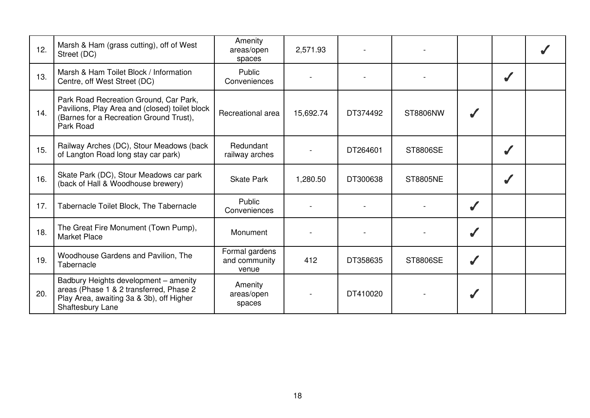| 12. | Marsh & Ham (grass cutting), off of West<br>Street (DC)                                                                                          | Amenity<br>areas/open<br>spaces          | 2,571.93  |          |                 |   |  |
|-----|--------------------------------------------------------------------------------------------------------------------------------------------------|------------------------------------------|-----------|----------|-----------------|---|--|
| 13. | Marsh & Ham Toilet Block / Information<br>Centre, off West Street (DC)                                                                           | Public<br>Conveniences                   |           |          |                 |   |  |
| 14. | Park Road Recreation Ground, Car Park,<br>Pavilions, Play Area and (closed) toilet block<br>(Barnes for a Recreation Ground Trust),<br>Park Road | Recreational area                        | 15,692.74 | DT374492 | ST8806NW        |   |  |
| 15. | Railway Arches (DC), Stour Meadows (back<br>of Langton Road long stay car park)                                                                  | Redundant<br>railway arches              |           | DT264601 | ST8806SE        |   |  |
| 16. | Skate Park (DC), Stour Meadows car park<br>(back of Hall & Woodhouse brewery)                                                                    | <b>Skate Park</b>                        | 1,280.50  | DT300638 | <b>ST8805NE</b> |   |  |
| 17. | Tabernacle Toilet Block, The Tabernacle                                                                                                          | Public<br>Conveniences                   |           |          |                 |   |  |
| 18. | The Great Fire Monument (Town Pump),<br><b>Market Place</b>                                                                                      | Monument                                 |           |          |                 |   |  |
| 19. | Woodhouse Gardens and Pavilion, The<br>Tabernacle                                                                                                | Formal gardens<br>and community<br>venue | 412       | DT358635 | ST8806SE        | ✔ |  |
| 20. | Badbury Heights development - amenity<br>areas (Phase 1 & 2 transferred, Phase 2<br>Play Area, awaiting 3a & 3b), off Higher<br>Shaftesbury Lane | Amenity<br>areas/open<br>spaces          |           | DT410020 |                 |   |  |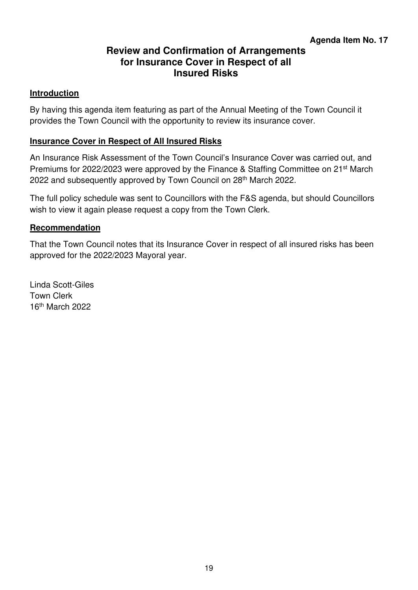## **Review and Confirmation of Arrangements for Insurance Cover in Respect of all Insured Risks**

#### <span id="page-18-0"></span>**Introduction**

By having this agenda item featuring as part of the Annual Meeting of the Town Council it provides the Town Council with the opportunity to review its insurance cover.

#### **Insurance Cover in Respect of All Insured Risks**

An Insurance Risk Assessment of the Town Council's Insurance Cover was carried out, and Premiums for 2022/2023 were approved by the Finance & Staffing Committee on 21<sup>st</sup> March 2022 and subsequently approved by Town Council on 28<sup>th</sup> March 2022.

The full policy schedule was sent to Councillors with the F&S agenda, but should Councillors wish to view it again please request a copy from the Town Clerk.

#### **Recommendation**

That the Town Council notes that its Insurance Cover in respect of all insured risks has been approved for the 2022/2023 Mayoral year.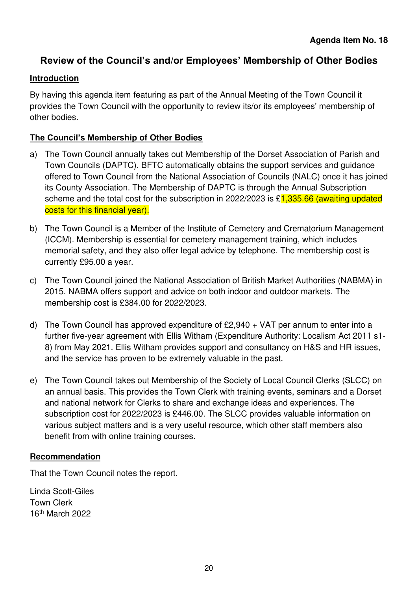## <span id="page-19-0"></span>**Review of the Council's and/or Employees' Membership of Other Bodies**

#### **Introduction**

By having this agenda item featuring as part of the Annual Meeting of the Town Council it provides the Town Council with the opportunity to review its/or its employees' membership of other bodies.

#### **The Council's Membership of Other Bodies**

- a) The Town Council annually takes out Membership of the Dorset Association of Parish and Town Councils (DAPTC). BFTC automatically obtains the support services and guidance offered to Town Council from the National Association of Councils (NALC) once it has joined its County Association. The Membership of DAPTC is through the Annual Subscription scheme and the total cost for the subscription in 2022/2023 is  $\frac{1,335.66}{1,335.66}$  (awaiting updated costs for this financial year).
- b) The Town Council is a Member of the Institute of Cemetery and Crematorium Management (ICCM). Membership is essential for cemetery management training, which includes memorial safety, and they also offer legal advice by telephone. The membership cost is currently £95.00 a year.
- c) The Town Council joined the National Association of British Market Authorities (NABMA) in 2015. NABMA offers support and advice on both indoor and outdoor markets. The membership cost is £384.00 for 2022/2023.
- d) The Town Council has approved expenditure of  $£2,940 + VAT$  per annum to enter into a further five-year agreement with Ellis Witham (Expenditure Authority: Localism Act 2011 s1- 8) from May 2021. Ellis Witham provides support and consultancy on H&S and HR issues, and the service has proven to be extremely valuable in the past.
- e) The Town Council takes out Membership of the Society of Local Council Clerks (SLCC) on an annual basis. This provides the Town Clerk with training events, seminars and a Dorset and national network for Clerks to share and exchange ideas and experiences. The subscription cost for 2022/2023 is £446.00. The SLCC provides valuable information on various subject matters and is a very useful resource, which other staff members also benefit from with online training courses.

#### **Recommendation**

That the Town Council notes the report.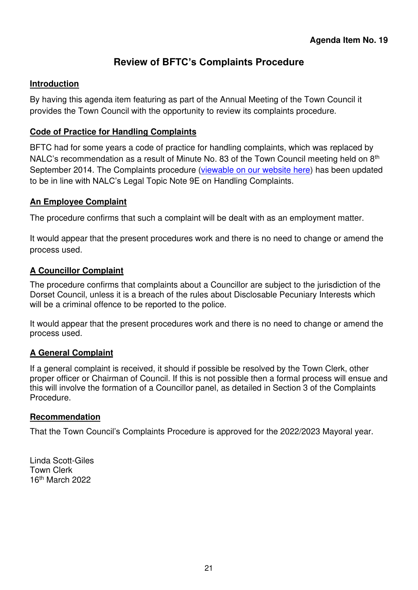## **Review of BFTC's Complaints Procedure**

#### <span id="page-20-0"></span>**Introduction**

By having this agenda item featuring as part of the Annual Meeting of the Town Council it provides the Town Council with the opportunity to review its complaints procedure.

#### **Code of Practice for Handling Complaints**

BFTC had for some years a code of practice for handling complaints, which was replaced by NALC's recommendation as a result of Minute No. 83 of the Town Council meeting held on 8<sup>th</sup> September 2014. The Complaints procedure [\(viewable on our website here\)](https://blandfordforum-tc.gov.uk/wp-content/uploads/2022/04/Complaint-Procedure-Amended-Feb-2019.pdf) has been updated to be in line with NALC's Legal Topic Note 9E on Handling Complaints.

#### **An Employee Complaint**

The procedure confirms that such a complaint will be dealt with as an employment matter.

It would appear that the present procedures work and there is no need to change or amend the process used.

#### **A Councillor Complaint**

The procedure confirms that complaints about a Councillor are subject to the jurisdiction of the Dorset Council, unless it is a breach of the rules about Disclosable Pecuniary Interests which will be a criminal offence to be reported to the police.

It would appear that the present procedures work and there is no need to change or amend the process used.

#### **A General Complaint**

If a general complaint is received, it should if possible be resolved by the Town Clerk, other proper officer or Chairman of Council. If this is not possible then a formal process will ensue and this will involve the formation of a Councillor panel, as detailed in Section 3 of the Complaints Procedure.

#### **Recommendation**

That the Town Council's Complaints Procedure is approved for the 2022/2023 Mayoral year.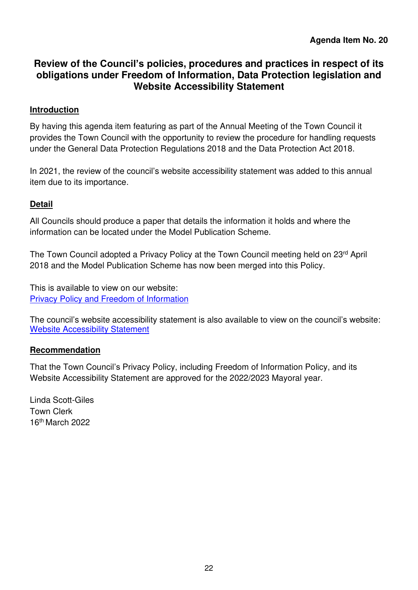## <span id="page-21-0"></span>**Review of the Council's policies, procedures and practices in respect of its obligations under Freedom of Information, Data Protection legislation and Website Accessibility Statement**

#### **Introduction**

By having this agenda item featuring as part of the Annual Meeting of the Town Council it provides the Town Council with the opportunity to review the procedure for handling requests under the General Data Protection Regulations 2018 and the Data Protection Act 2018.

In 2021, the review of the council's website accessibility statement was added to this annual item due to its importance.

#### **Detail**

All Councils should produce a paper that details the information it holds and where the information can be located under the Model Publication Scheme.

The Town Council adopted a Privacy Policy at the Town Council meeting held on 23<sup>rd</sup> April 2018 and the Model Publication Scheme has now been merged into this Policy.

This is available to view on our website: [Privacy Policy and Freedom of Information](https://blandfordforum-tc.gov.uk/wp-content/uploads/2022/04/Privacy-Policy-and-FOI-Policy-August-19.pdf)

The council's website accessibility statement is also available to view on the council's website: [Website Accessibility Statement](https://blandfordforum-tc.gov.uk/wp-content/uploads/2022/04/Website-Accessibility-Statement-2019-BFTC.pdf) 

#### **Recommendation**

That the Town Council's Privacy Policy, including Freedom of Information Policy, and its Website Accessibility Statement are approved for the 2022/2023 Mayoral year.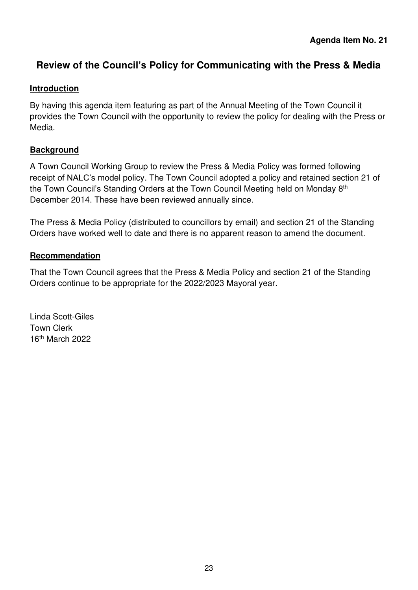## <span id="page-22-0"></span>**Review of the Council's Policy for Communicating with the Press & Media**

#### **Introduction**

By having this agenda item featuring as part of the Annual Meeting of the Town Council it provides the Town Council with the opportunity to review the policy for dealing with the Press or Media.

#### **Background**

A Town Council Working Group to review the Press & Media Policy was formed following receipt of NALC's model policy. The Town Council adopted a policy and retained section 21 of the Town Council's Standing Orders at the Town Council Meeting held on Monday 8<sup>th</sup> December 2014. These have been reviewed annually since.

The Press & Media Policy (distributed to councillors by email) and section 21 of the Standing Orders have worked well to date and there is no apparent reason to amend the document.

#### **Recommendation**

That the Town Council agrees that the Press & Media Policy and section 21 of the Standing Orders continue to be appropriate for the 2022/2023 Mayoral year.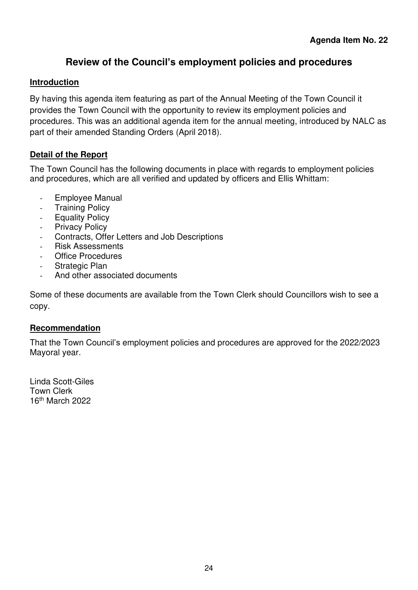## **Review of the Council's employment policies and procedures**

#### <span id="page-23-0"></span>**Introduction**

By having this agenda item featuring as part of the Annual Meeting of the Town Council it provides the Town Council with the opportunity to review its employment policies and procedures. This was an additional agenda item for the annual meeting, introduced by NALC as part of their amended Standing Orders (April 2018).

#### **Detail of the Report**

The Town Council has the following documents in place with regards to employment policies and procedures, which are all verified and updated by officers and Ellis Whittam:

- Employee Manual
- Training Policy
- Equality Policy
- Privacy Policy
- Contracts, Offer Letters and Job Descriptions
- Risk Assessments
- Office Procedures
- Strategic Plan
- And other associated documents

Some of these documents are available from the Town Clerk should Councillors wish to see a copy.

#### **Recommendation**

That the Town Council's employment policies and procedures are approved for the 2022/2023 Mayoral year.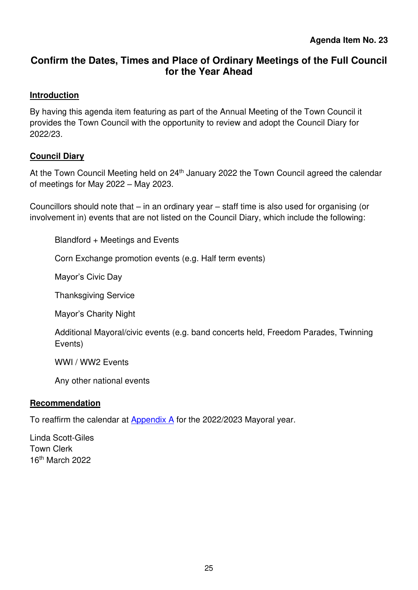## <span id="page-24-0"></span>**Confirm the Dates, Times and Place of Ordinary Meetings of the Full Council for the Year Ahead**

#### **Introduction**

By having this agenda item featuring as part of the Annual Meeting of the Town Council it provides the Town Council with the opportunity to review and adopt the Council Diary for 2022/23.

#### **Council Diary**

At the Town Council Meeting held on 24<sup>th</sup> January 2022 the Town Council agreed the calendar of meetings for May 2022 – May 2023.

Councillors should note that – in an ordinary year – staff time is also used for organising (or involvement in) events that are not listed on the Council Diary, which include the following:

Blandford + Meetings and Events

Corn Exchange promotion events (e.g. Half term events)

Mayor's Civic Day

Thanksgiving Service

Mayor's Charity Night

Additional Mayoral/civic events (e.g. band concerts held, Freedom Parades, Twinning Events)

WWI / WW2 Events

Any other national events

#### **Recommendation**

To reaffirm the calendar at [Appendix A](#page-25-0) for the 2022/2023 Mayoral year.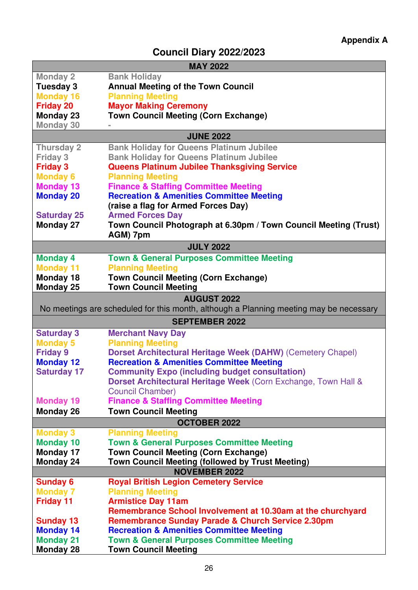## **Council Diary 2022/2023**

<span id="page-25-0"></span>

|                    | <b>MAY 2022</b>                                                                        |
|--------------------|----------------------------------------------------------------------------------------|
| <b>Monday 2</b>    | <b>Bank Holiday</b>                                                                    |
| Tuesday 3          | <b>Annual Meeting of the Town Council</b>                                              |
| <b>Monday 16</b>   | <b>Planning Meeting</b>                                                                |
| <b>Friday 20</b>   | <b>Mayor Making Ceremony</b>                                                           |
| Monday 23          | <b>Town Council Meeting (Corn Exchange)</b>                                            |
| <b>Monday 30</b>   |                                                                                        |
|                    | <b>JUNE 2022</b>                                                                       |
| <b>Thursday 2</b>  | <b>Bank Holiday for Queens Platinum Jubilee</b>                                        |
| <b>Friday 3</b>    | <b>Bank Holiday for Queens Platinum Jubilee</b>                                        |
| <b>Friday 3</b>    | <b>Queens Platinum Jubilee Thanksgiving Service</b>                                    |
| <b>Monday 6</b>    | <b>Planning Meeting</b>                                                                |
| <b>Monday 13</b>   | <b>Finance &amp; Staffing Committee Meeting</b>                                        |
| <b>Monday 20</b>   | <b>Recreation &amp; Amenities Committee Meeting</b>                                    |
|                    | (raise a flag for Armed Forces Day)                                                    |
| <b>Saturday 25</b> | <b>Armed Forces Day</b>                                                                |
| <b>Monday 27</b>   | Town Council Photograph at 6.30pm / Town Council Meeting (Trust)                       |
|                    | AGM) 7pm                                                                               |
|                    | <b>JULY 2022</b>                                                                       |
| <b>Monday 4</b>    | <b>Town &amp; General Purposes Committee Meeting</b>                                   |
| <b>Monday 11</b>   | <b>Planning Meeting</b>                                                                |
| Monday 18          | <b>Town Council Meeting (Corn Exchange)</b>                                            |
| <b>Monday 25</b>   | <b>Town Council Meeting</b>                                                            |
|                    | <b>AUGUST 2022</b>                                                                     |
|                    | No meetings are scheduled for this month, although a Planning meeting may be necessary |
|                    | <b>SEPTEMBER 2022</b>                                                                  |
| <b>Saturday 3</b>  | <b>Merchant Navy Day</b>                                                               |
| <b>Monday 5</b>    | <b>Planning Meeting</b>                                                                |
| <b>Friday 9</b>    | <b>Dorset Architectural Heritage Week (DAHW) (Cemetery Chapel)</b>                     |
| <b>Monday 12</b>   | <b>Recreation &amp; Amenities Committee Meeting</b>                                    |
| <b>Saturday 17</b> | <b>Community Expo (including budget consultation)</b>                                  |
|                    | Dorset Architectural Heritage Week (Corn Exchange, Town Hall &                         |
|                    | <b>Council Chamber)</b>                                                                |
| <b>Monday 19</b>   | <b>Finance &amp; Staffing Committee Meeting</b>                                        |
| Monday 26          | <b>Town Council Meeting</b>                                                            |
|                    | <b>OCTOBER 2022</b>                                                                    |
| <b>Monday 3</b>    | <b>Planning Meeting</b>                                                                |
| <b>Monday 10</b>   | <b>Town &amp; General Purposes Committee Meeting</b>                                   |
| <b>Monday 17</b>   | <b>Town Council Meeting (Corn Exchange)</b>                                            |
| Monday 24          | Town Council Meeting (followed by Trust Meeting)                                       |
|                    | <b>NOVEMBER 2022</b>                                                                   |
| <b>Sunday 6</b>    | <b>Royal British Legion Cemetery Service</b>                                           |
| <b>Monday 7</b>    | <b>Planning Meeting</b>                                                                |
| <b>Friday 11</b>   | <b>Armistice Day 11am</b>                                                              |
|                    | Remembrance School Involvement at 10.30am at the churchyard                            |
| <b>Sunday 13</b>   | <b>Remembrance Sunday Parade &amp; Church Service 2.30pm</b>                           |
| <b>Monday 14</b>   | <b>Recreation &amp; Amenities Committee Meeting</b>                                    |
| <b>Monday 21</b>   | <b>Town &amp; General Purposes Committee Meeting</b>                                   |
| <b>Monday 28</b>   | <b>Town Council Meeting</b>                                                            |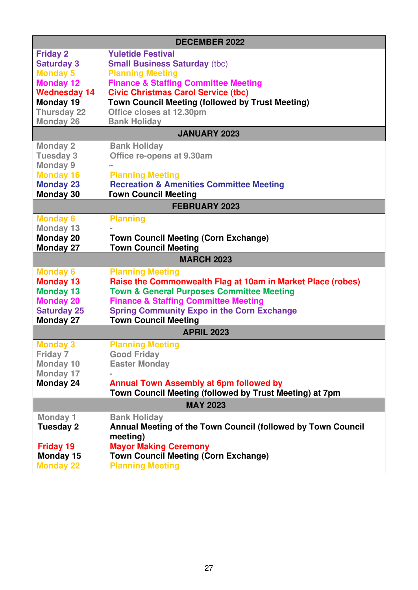|                               | <b>DECEMBER 2022</b>                                                   |
|-------------------------------|------------------------------------------------------------------------|
| <b>Friday 2</b>               | <b>Yuletide Festival</b>                                               |
| <b>Saturday 3</b>             | <b>Small Business Saturday (tbc)</b>                                   |
| <b>Monday 5</b>               | <b>Planning Meeting</b>                                                |
| <b>Monday 12</b>              | <b>Finance &amp; Staffing Committee Meeting</b>                        |
| <b>Wednesday 14</b>           | <b>Civic Christmas Carol Service (tbc)</b>                             |
| <b>Monday 19</b>              | <b>Town Council Meeting (followed by Trust Meeting)</b>                |
| <b>Thursday 22</b>            | Office closes at 12.30pm                                               |
| <b>Monday 26</b>              | <b>Bank Holiday</b>                                                    |
|                               | <b>JANUARY 2023</b>                                                    |
| <b>Monday 2</b>               | <b>Bank Holiday</b>                                                    |
| <b>Tuesday 3</b>              | Office re-opens at 9.30am                                              |
| <b>Monday 9</b>               |                                                                        |
| <b>Monday 16</b>              | <b>Planning Meeting</b>                                                |
| <b>Monday 23</b>              | <b>Recreation &amp; Amenities Committee Meeting</b>                    |
| <b>Monday 30</b>              | <b>Town Council Meeting</b>                                            |
|                               | <b>FEBRUARY 2023</b>                                                   |
| <b>Monday 6</b>               | <b>Planning</b>                                                        |
| <b>Monday 13</b>              |                                                                        |
| <b>Monday 20</b>              | <b>Town Council Meeting (Corn Exchange)</b>                            |
| <b>Monday 27</b>              | <b>Town Council Meeting</b>                                            |
|                               | <b>MARCH 2023</b>                                                      |
| <b>Monday 6</b>               | <b>Planning Meeting</b>                                                |
|                               |                                                                        |
| <b>Monday 13</b>              | Raise the Commonwealth Flag at 10am in Market Place (robes)            |
| <b>Monday 13</b>              | <b>Town &amp; General Purposes Committee Meeting</b>                   |
| <b>Monday 20</b>              | <b>Finance &amp; Staffing Committee Meeting</b>                        |
| <b>Saturday 25</b>            | <b>Spring Community Expo in the Corn Exchange</b>                      |
| <b>Monday 27</b>              | <b>Town Council Meeting</b>                                            |
|                               | <b>APRIL 2023</b>                                                      |
| <b>Monday 3</b>               | <b>Planning Meeting</b>                                                |
| Friday 7                      | <b>Good Friday</b>                                                     |
| <b>Monday 10</b>              | <b>Easter Monday</b>                                                   |
| <b>Monday 17</b>              |                                                                        |
| <b>Monday 24</b>              | <b>Annual Town Assembly at 6pm followed by</b>                         |
|                               | Town Council Meeting (followed by Trust Meeting) at 7pm                |
|                               | <b>MAY 2023</b>                                                        |
| <b>Monday 1</b>               | <b>Bank Holiday</b>                                                    |
| <b>Tuesday 2</b>              | Annual Meeting of the Town Council (followed by Town Council           |
|                               | meeting)                                                               |
| <b>Friday 19</b>              | <b>Mayor Making Ceremony</b>                                           |
| Monday 15<br><b>Monday 22</b> | <b>Town Council Meeting (Corn Exchange)</b><br><b>Planning Meeting</b> |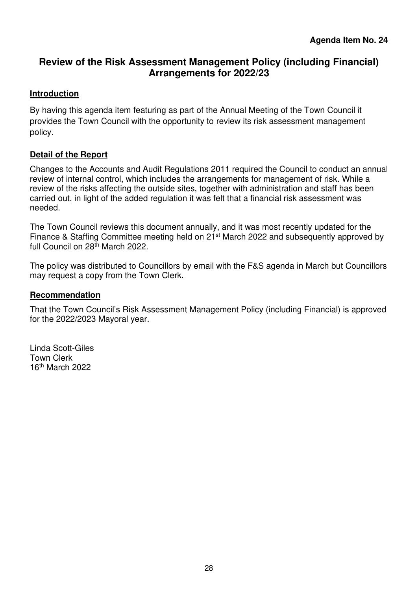## <span id="page-27-0"></span>**Review of the Risk Assessment Management Policy (including Financial) Arrangements for 2022/23**

#### **Introduction**

By having this agenda item featuring as part of the Annual Meeting of the Town Council it provides the Town Council with the opportunity to review its risk assessment management policy.

#### **Detail of the Report**

Changes to the Accounts and Audit Regulations 2011 required the Council to conduct an annual review of internal control, which includes the arrangements for management of risk. While a review of the risks affecting the outside sites, together with administration and staff has been carried out, in light of the added regulation it was felt that a financial risk assessment was needed.

The Town Council reviews this document annually, and it was most recently updated for the Finance & Staffing Committee meeting held on 21<sup>st</sup> March 2022 and subsequently approved by full Council on 28<sup>th</sup> March 2022.

The policy was distributed to Councillors by email with the F&S agenda in March but Councillors may request a copy from the Town Clerk.

#### **Recommendation**

That the Town Council's Risk Assessment Management Policy (including Financial) is approved for the 2022/2023 Mayoral year.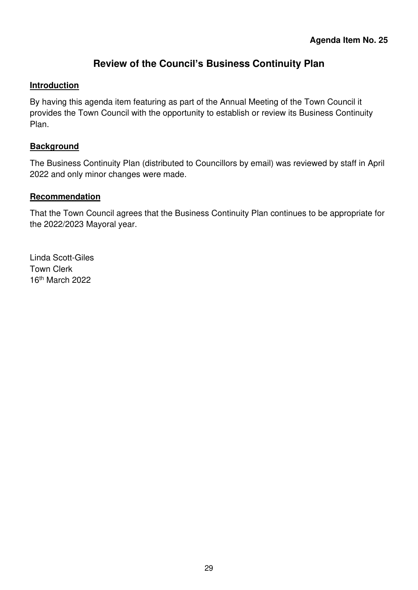## **Review of the Council's Business Continuity Plan**

#### <span id="page-28-0"></span>**Introduction**

By having this agenda item featuring as part of the Annual Meeting of the Town Council it provides the Town Council with the opportunity to establish or review its Business Continuity Plan.

#### **Background**

The Business Continuity Plan (distributed to Councillors by email) was reviewed by staff in April 2022 and only minor changes were made.

#### **Recommendation**

That the Town Council agrees that the Business Continuity Plan continues to be appropriate for the 2022/2023 Mayoral year.